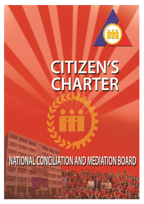

## CITIZEN'S CHARTER

# NATIONAL CONCILIATION AND MEDIATION BOARD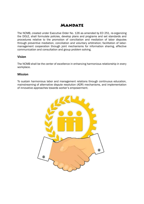## **MANDATE**

The NCMB, created under Executive Order No. 126 as amended by EO 251, re-organizing the DOLE, shall formulate policies, develop plans and programs and set standards and procedures relative to the promotion of conciliation and mediation of labor disputes through preventive mediation, conciliation and voluntary arbitration; facilitation of labormanagement cooperation through joint mechanisms for information sharing, effective communication and consultation and group problem solving.

#### **Vision**

The NCMB shall be the center of excellence in enhancing harmonious relationship in every workplace.

#### **Mission**

To sustain harmonious labor and management relations through continuous education, mainstreaming of alternative dispute resolution (ADR) mechanisms, and implementation of innovative approaches towards worker's empowerment.

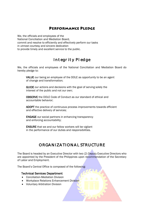## **PERFORMANCE PLEDGE**

We, the officials and employees of the National Conciliation and Mediation Board, commit and resolve to efficiently and effectively perform our tasks in utmost courtesy and sincere dedication to provide timely and excellent service to the public.

## Integrity Pledge

We, the officials and employees of the National Conciliation and Mediation Board do hereby pledge to:

VALUE our being an employee of the DOLE as opportunity to be an agent of change and transformation;

GUIDE our actions and decisions with the goal of serving solely the interest of the public and not our own;

OBSERVE the DOLE Code of Conduct as our standard of ethical and accountable behavior;

ADOPT the practice of continuous process improvements towards efficient and effective delivery of services;

ENGAGE our social partners in enhancing transparency and enforcing accountability;

ENSURE that we and our fellow workers will be vigilant in the performance of our duties and responsibilities.

## ORGANIZATIONAL STRUCTURE

The Board is headed by an Executive Director with two (2) Deputy Executive Directors who are appointed by the President of the Philippines upon recommendation of the Secretary of Labor and Employment.

The Board's Central Office is composed of the following:

#### Technical Services Department

- Conciliation-Mediation Division
- Workplace Relations Enhancement Division
- Voluntary Arbitration Division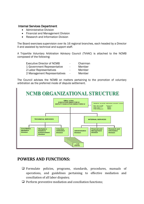#### Internal Services Department

- Administrative Division
- Financial and Management Division
- Research and Information Division

The Board exercises supervision over its 16 regional branches, each headed by a Director II and assisted by technical and support staff.

A Tripartite Voluntary Arbitration Advisory Council (TVAAC) is attached to the NCMB composed of the following:

| <b>Executive Director of NCMB</b> | $\overline{\phantom{a}}$ | Chairman |
|-----------------------------------|--------------------------|----------|
| 1 Government Representative       | $\blacksquare$           | Member   |
| 2 Labor Representatives           |                          | Member   |
| 2 Management Representatives      | $\sim$                   | Member   |
|                                   |                          |          |

The Council advises the NCMB on matters pertaining to the promotion of voluntary arbitration as the preferred mode of dispute settlement.



## **POWERS AND FUNCTIONS:**

- ❑ Formulate policies, programs, standards, procedures, manuals of operations, and guidelines pertaining to effective mediation and conciliation of all labor disputes;
- $\Box$  Perform preventive mediation and conciliation functions;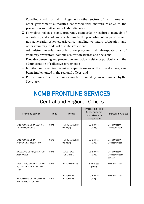- □ Coordinate and maintain linkages with other sectors of institutions and other government authorities concerned with matters relative to the prevention and settlement of labor disputes;
- ❑ Formulate policies, plans, programs, standards, procedures, manuals of operations, and guidelines pertaining to the promotion of cooperative and non-adversarial schemes, grievance handling, voluntary arbitration, and other voluntary modes of dispute settlement;
- $\Box$  Administer the voluntary arbitration program; maintain/update a list of voluntary arbitrators, compile arbitration awards and decisions;
- $\Box$  Provide counseling and preventive mediation assistance particularly in the administration of collective agreements;
- ❑ Monitor and exercise technical supervision over the Board's programs being implemented in the regional offices; and
- $\Box$  Perform such other functions as may be provided by law or assigned by the Secretary.

## NCMB FRONTLINE SERVICES

## Central and Regional Offices

| <b>Frontline Service</b>                                         | Fees | Forms                          | <b>Processing Time</b><br>(Under normal<br>circumstance per<br>transaction) | Person-in-Charge                                 |
|------------------------------------------------------------------|------|--------------------------------|-----------------------------------------------------------------------------|--------------------------------------------------|
| <b>CASE HANDLING OF NOTICE</b><br>OF STRIKE/LOCKOUT              | None | FM-DOLE-NCMB-<br>01.01(A)      | 10 minutes<br>(filing)                                                      | Desk Officer/<br>Docket Officer                  |
| <b>CASE HANDLING OF</b><br>PREVENTIVE MEDIATION                  | None | FM-DOLE-NCMB-<br>01.01(A)      | 10 minutes<br>(filing)                                                      | Desk Officer/<br>Docket Officer                  |
| <b>HANDLING OF REQUEST FOR</b><br><b>ASSISTANCE</b>              | None | <b>DOLE-SENA</b><br>FORM No. 1 | 15 minutes<br>(filing)                                                      | Desk Officer/<br>Docket Officer/<br><b>SEADO</b> |
| FACILITATION/HANDLING OF<br><b>VOLUNTARY ARBITRATION</b><br>CASE | None | <b>VA FORM 01-05</b>           | 5 minutes<br>(filing)                                                       | <b>Technical Staff</b>                           |
| PROCESSING OF VOLUNTARY<br><b>ARBITRATION SUBSIDY</b>            | None | VA Form 01<br>VA Form 06       | 10 minutes<br>(filing)                                                      | <b>Technical Staff</b>                           |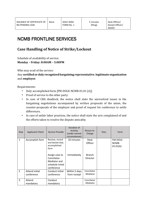## NCMB FRONTLINE SERVICES

## **Case Handling of Notice of Strike/Lockout**

Schedule of availability of service:

### **Monday – Friday: 8:00AM – 5:00PM**

Who may avail of the service:

Any **certified or duly recognized bargaining representative**, **legitimate organization** and **employer**.

Requirements:

- Duly accomplished form [FM-DOLE-NCMB-01.01 (A)]
- Proof of service to the other party
- In case of CBA deadlock, the notice shall state the unresolved issues in the bargaining negotiations accompanied by written proposals of the union, the counter-proposals of the employer and proof of request for conference to settle differences.
- In case of unfair labor practices, the notice shall state the acts complained of and the efforts taken to resolve the dispute amicably.

| Step           | Applicant/ Client            | Service Provider                                                                 | Duration of<br>Activity<br>(under normal<br>circumstances) | Person-in-<br>Charge             | Fees | Form                          |
|----------------|------------------------------|----------------------------------------------------------------------------------|------------------------------------------------------------|----------------------------------|------|-------------------------------|
| $\mathbf{1}$   | Accomplish form              | Receive, record<br>and docket duly<br>accomplished<br>form                       | 10 minutes                                                 | <b>Desk</b><br>Officer           |      | FM-DOLE-<br>NCMB-<br>01.01(A) |
|                |                              | Assign case to<br>Conciliator-<br>Mediator and<br>schedule initial<br>conference | Immediately                                                | <b>Branch</b><br><b>Director</b> |      |                               |
| $\overline{2}$ | Attend initial<br>conference | Conduct initial<br>conference                                                    | Within 5 days<br>from receipt                              | Conciliator<br>-Mediator         |      |                               |
| 3              | Attend<br>mandatory          | Conduct<br>mandatory                                                             |                                                            | Conciliator<br>-Mediator         |      |                               |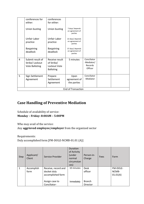|   | conferences for<br>either:                                   | conferences<br>for either:                                       |                                               |                                                 |  |
|---|--------------------------------------------------------------|------------------------------------------------------------------|-----------------------------------------------|-------------------------------------------------|--|
|   | Union busting                                                | Union busting                                                    | 7 days/ depends<br>on agreement of<br>parties |                                                 |  |
|   | Unfair Labor<br>practice                                     | Unfair Labor<br>practice                                         | 22 days/depends<br>on agreement of<br>parties |                                                 |  |
|   | <b>Bargaining</b><br>deadlock                                | <b>Bargaining</b><br>deadlock                                    | 37 days/depends<br>on agreement of<br>parties |                                                 |  |
| 4 | Submit result of<br>Strike/ Lockout<br><b>Vote Balloting</b> | Receive result<br>of Strike/<br>Lockout Vote<br><b>Balloting</b> | 5 minutes                                     | Conciliator<br>-Mediator/<br>Records<br>Officer |  |
| 5 | Sign Settlement<br>Agreement                                 | Prepare<br>Settlement<br>Agreement                               | Upon<br>agreement of<br>the parties           | Conciliator<br>-Mediator                        |  |
|   |                                                              |                                                                  | <b>End of Transaction</b>                     |                                                 |  |

## **Case Handling of Preventive Mediation**

Schedule of availability of service: **Monday – Friday: 8:00AM – 5:00PM**

Who may avail of the service:

Any **aggrieved employee/employer** from the organized sector

Requirements: Duly accomplished form [FM-DOLE-NCMB-01.01 (A)]

| Step         | Applicant/<br>Client | Service Provider                                        | Duration<br>of Activity<br>(under<br>normal<br>circumstan<br>ces) | Person-in-<br>Charge      | Fees | Form                          |
|--------------|----------------------|---------------------------------------------------------|-------------------------------------------------------------------|---------------------------|------|-------------------------------|
| $\mathbf{1}$ | Accomplish<br>form   | Receive, record and<br>docket duly<br>accomplished form | 10 minutes                                                        | <b>Desk</b><br>officer    |      | FM-DOLE-<br>NCMB-<br>01.01(A) |
|              |                      | Assign case to<br>Conciliator-                          | Immediately                                                       | <b>Branch</b><br>Director |      |                               |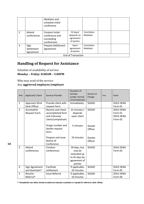|   |                                 | Mediator and<br>schedule initial<br>conference                 |                                                            |                          |  |
|---|---------------------------------|----------------------------------------------------------------|------------------------------------------------------------|--------------------------|--|
| 2 | Attend<br>conferences           | Conduct initial<br>conference and<br>succeeding<br>conferences | $35 \text{ days}$<br>depends on<br>agreement<br>of parties | Conciliator-<br>Mediator |  |
| 3 | Sign<br>Settlement<br>Agreement | Prepare Settlement<br>Agreement                                | Upon<br>agreement<br>of parties                            | Conciliator-<br>Mediator |  |
|   |                                 |                                                                | <b>End of Transaction</b>                                  |                          |  |

## **Handling of Request for Assistance**

Schedule of availability of service: **Monday – Friday: 8:00AM – 5:00PM**

Who may avail of the service:

#### Any **aggrieved employee/employer**

| Step           | Applicant/ Client                 | Service Provider                                                              | Duration of<br>Activity<br>(under normal<br>circumstances)                        | Person-in-<br>Charge     | Fees | Form                                                |
|----------------|-----------------------------------|-------------------------------------------------------------------------------|-----------------------------------------------------------------------------------|--------------------------|------|-----------------------------------------------------|
| $\mathbf{1}$   | Approach SEnA<br>Desk Officer     | Provide client with<br>request form                                           | Immediately                                                                       | <b>SEADO</b>             |      | <b>DOLE-SENA</b><br>Form 01                         |
| $\overline{2}$ | Accomplish<br><b>Request Form</b> | Receive and check<br>accomplished form<br>and interview<br>client/complainant | 15 minutes /<br>depends<br>upon client                                            | <b>SEADO</b>             |      | DOLE-SENA<br>Form 01<br><b>DOLE-SENA</b><br>Form 02 |
|                |                                   | Assign number and<br>docket request<br>form                                   | 5 minutes                                                                         | <b>Docket</b><br>Officer |      |                                                     |
|                |                                   | Prepare and issue<br>Notice of<br>Conference                                  | 10 minutes                                                                        | <b>Docket</b><br>Officer |      |                                                     |
| $\overline{3}$ | Attend<br>conferences             | Conduct<br>conferences                                                        | 30 days, but<br>may be<br>extended up<br>to 45 days by<br>agreement of<br>parties | <b>SEADO</b>             |      | <b>DOLE-SENA</b><br>Form 03                         |
| 4              | Sign Agreement<br>and Quitclaim*  | Facilitate<br>settlement                                                      | If applicable,<br>10 minutes                                                      | <b>SEADO</b>             |      | <b>DOLE-SENA</b><br>Form 05                         |
| 5              | Receive<br>Referral*              | <b>Issue Referral</b>                                                         | If applicable,<br>10 minutes                                                      | <b>SEADO</b>             |      | <b>DOLE-SENA</b><br>Form 06                         |

\* Complainant can either choose to settle and execute a quitclaim or request for referral to other offices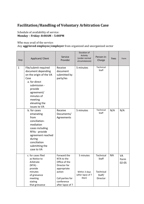## **Facilitation/Handling of Voluntary Arbitration Case**

Schedule of availability of service: **Monday – Friday: 8:00AM – 5:00PM**

Who may avail of the service:

Any **aggrieved employee/employer** from organized and unorganized sector

| Step         | Applicant/ Client                                                                                                                                                                                 | Service<br>Provider                                                                                                                       | Duration of<br>Activity<br>(under normal<br>circumstances) | Person-in-<br>Charge                                         | Fees | Form                           |
|--------------|---------------------------------------------------------------------------------------------------------------------------------------------------------------------------------------------------|-------------------------------------------------------------------------------------------------------------------------------------------|------------------------------------------------------------|--------------------------------------------------------------|------|--------------------------------|
| $\mathbf{1}$ | File/submit required<br>document depending<br>on the origin of the VA<br>Case<br>a. for direct<br>submission -<br>provide<br>agreement/<br>minutes of<br>meeting<br>elevating the<br>issues to VA | Receive<br>document<br>submitted by<br>party/ies                                                                                          | 5 minutes                                                  | Technical<br>Staff                                           |      |                                |
|              | b. for cases<br>emanating<br>from<br>conciliation-<br>mediation<br>cases including<br>RFAs - provide<br>agreement reached<br>during<br>conciliation<br>submitting the<br>case to VA               | Receive<br>Documents/<br>Agreements                                                                                                       | 5 minutes                                                  | Technical<br>Staff                                           | N/A  | N/A                            |
|              | c. for cases filed<br>as Notice to<br>Arbitrate<br>$(NTA)$ -<br>provide<br>minutes<br>of grievance<br>meeting<br>stating<br>that grievance                                                        | Forward the<br>NTA to the<br>Office of the<br>Director for<br>appropriate<br>action<br>Call parties for<br>conference<br>after lapse of 7 | 5 minutes<br>Within 3 days<br>(after lapse of 7<br>days)   | Technical<br><b>Staff</b><br>Technical<br>Staff/<br>Director | N/A  | <b>VA</b><br>Form<br>$02 - 05$ |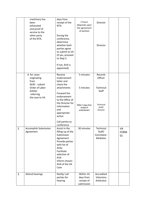|                | machinery has<br>been<br>exhausted<br>and proof of<br>service to the<br>other party<br>of the NTA. | days from<br>receipt of the<br>NTA.<br>During the<br>conference,<br>determine<br>whether both<br>parties agree<br>to submit to VA<br>(If yes, proceed<br>to Step 2.<br>If not, AVA is<br>appointed)   | 2 hours<br>(depends upon<br>the agreement<br>of parties) | Director<br>Director                            |                         |
|----------------|----------------------------------------------------------------------------------------------------|-------------------------------------------------------------------------------------------------------------------------------------------------------------------------------------------------------|----------------------------------------------------------|-------------------------------------------------|-------------------------|
|                | d. for cases<br>originating<br>from<br>NLRC - submit<br>Order of Labor                             | Receive<br>endorsement<br>letter and<br>check the<br>attachments                                                                                                                                      | 5 minutes<br>5 minutes                                   | Records<br>Officer<br>Technical                 |                         |
|                | Arbiter<br>referring<br>the case to VA                                                             | Forward the<br>endorsement<br>to the Office of<br>the Director for<br>information<br>and<br>appropriate<br>action<br>Call parties to<br>conference                                                    | Within 3 days from<br>receipt of<br>endorsement          | <b>Staff</b><br>Technical<br>Staff/<br>Director |                         |
| $\overline{2}$ | <b>Accomplish Submission</b><br>Agreement                                                          | Assist in the<br>filling-up of the<br>Submission<br>Agreement<br>Provide parties<br>with list of<br><b>AVAs</b><br>Facilitate<br>selection of<br><b>AVA</b><br>Inform chosen<br>AVA of the VA<br>Case | 30 minutes                                               | Technical<br>Staff/<br>Conciliator-<br>Mediator | VA<br><b>FORM</b><br>01 |
| $\overline{3}$ | <b>Attend hearings</b>                                                                             | Notify/call<br>parties for<br>hearing                                                                                                                                                                 | Within 10<br>days from<br>receipt of<br>submission       | Accredited<br>Voluntary<br>Arbitrator           |                         |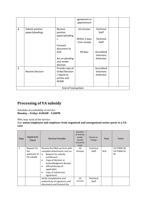|                |                                    |                                                                               | agreement or<br>appointment   |                                       |  |
|----------------|------------------------------------|-------------------------------------------------------------------------------|-------------------------------|---------------------------------------|--|
| $\overline{4}$ | Submit position<br>paper/pleadings | Receive<br>position                                                           | 10 minutes                    | Technical<br>Staff                    |  |
|                |                                    | paper/pleading                                                                |                               |                                       |  |
|                |                                    | S                                                                             | Within 2 days<br>from receipt | Technical<br><b>Staff</b>             |  |
|                |                                    | Forward<br>document to                                                        |                               |                                       |  |
|                |                                    | <b>AVA</b>                                                                    | 90 days                       | Accredited<br>Voluntary               |  |
|                |                                    | Act on pleading<br>and render<br>decision                                     |                               | Arbitrator                            |  |
| 5              | <b>Receive Decision</b>            | Provide copy of<br>Order/Decision<br>/ Award to<br>parties and<br><b>NCMB</b> |                               | Accredited<br>Voluntary<br>Arbitrator |  |
|                |                                    | End of transaction                                                            |                               |                                       |  |

## **Processing of VA subsidy**

#### Schedule of availability of service: **Monday – Friday: 8:00AM – 5:00PM**

Who may avail of the service:

Any **union/employee and employer from organized and unorganized sector party to a VA case**

| Step         | Applicant/<br><b>Client</b>                      | Service Provider                                                                                                                                                                                                                                                                      | <b>Duration</b><br>of Activity<br>(under<br>normal<br>circumsta<br>nces) | Person-in-<br>Charge | <b>Fees</b> | Form                            |
|--------------|--------------------------------------------------|---------------------------------------------------------------------------------------------------------------------------------------------------------------------------------------------------------------------------------------------------------------------------------------|--------------------------------------------------------------------------|----------------------|-------------|---------------------------------|
| $\mathbf{1}$ | Request for<br>the<br>availment of<br>VA subsidy | Receive the filled-up form with<br>complete attachments such as:<br>Request for subsidy<br>$\bullet$<br>entitlement<br>Copy of Decision or<br>$\bullet$<br>Acknowledgment Receipt<br>Official Receipt (if<br>$\bullet$<br>applicable)<br>Copy of Submission<br>$\bullet$<br>Agreement | 10<br>minutes                                                            | Technical<br>Staff   | N/A         | VA FORM 06<br>VA FORM 01-<br>05 |
|              |                                                  | Verify completeness and<br>authenticity of signatures and<br>documents and forward the                                                                                                                                                                                                | 30<br>minutes                                                            | Technical<br>Staff   |             |                                 |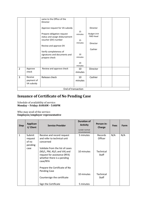|                |                                     | same to the Office of the<br>Director                                               |                                |                                                   |  |
|----------------|-------------------------------------|-------------------------------------------------------------------------------------|--------------------------------|---------------------------------------------------|--|
|                |                                     | Approve request for VA subsidy                                                      |                                | Director                                          |  |
|                |                                     | Prepare obligation request<br>status and assign disbursement<br>voucher (DV) number | 15<br>minutes<br>15<br>minutes | <b>Budget Unit</b><br><b>FMD Head</b><br>Director |  |
|                |                                     | Review and approve DV<br>Verify completeness of                                     |                                | Cashier                                           |  |
|                |                                     | signatures and documents and<br>prepare check                                       | 10<br>minutes                  |                                                   |  |
|                |                                     |                                                                                     | 20<br>minutes                  |                                                   |  |
| $\overline{2}$ | Approve<br>check                    | Review and approve check                                                            | 10<br>minutes                  | Director                                          |  |
| 3              | Receive<br>payment of<br>VA subsidy | Release check                                                                       | 10<br>minutes                  | Cashier                                           |  |
|                |                                     | End of transaction                                                                  |                                |                                                   |  |

## **Issuance of Certificate of No Pending Case**

Schedule of availability of service: **Monday – Friday: 8:00AM – 5:00PM**

Who may avail of the service: **Employee/employer representative**

| <b>Step</b> | <b>Applican</b><br>t/ Client                  | <b>Service Provider</b>                                                                                                                                                                                            | <b>Duration of</b><br><b>Activity</b><br>(under normal<br>circumstances) | Person-in-<br>Charge                                          | <b>Fees</b> | <b>Form</b> |
|-------------|-----------------------------------------------|--------------------------------------------------------------------------------------------------------------------------------------------------------------------------------------------------------------------|--------------------------------------------------------------------------|---------------------------------------------------------------|-------------|-------------|
| 1           | Submit<br>request<br>of no<br>pending<br>case | Receive and record request<br>and refer to technical unit<br>concerned<br>Validate from the list of cases<br>(NS/L, PM, AS/L and VA) and<br>request for assistance (RFA)<br>whether there is a pending<br>case/RFA | 5 minutes<br>10 minutes                                                  | <b>Records</b><br>Officer<br><b>Technical</b><br><b>Staff</b> | N/A         | N/A         |
|             |                                               | Prepare the Certificate of No<br><b>Pending Case</b><br>Countersign the certificate<br>Sign the Certificate                                                                                                        | 10 minutes<br>5 minutes                                                  | Technical<br><b>Staff</b>                                     |             |             |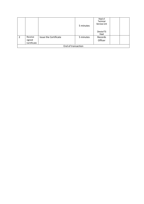|                    |                                  |                       | 5 minutes | Head of<br>Technical<br>Services Unit<br>Director/TS<br>Head |  |  |  |
|--------------------|----------------------------------|-----------------------|-----------|--------------------------------------------------------------|--|--|--|
| $\overline{2}$     | Receive<br>signed<br>Certificate | Issue the Certificate | 5 minutes | Records<br>Officer                                           |  |  |  |
| End of transaction |                                  |                       |           |                                                              |  |  |  |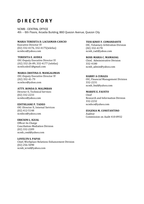## **D I R E C T O R Y**

NCMB - CENTRAL OFFICE 4th – 6th Floors, Arcadia Building, 860 Quezon Avenue, Quezon City

#### **MARIA TERESITA D. LACSAMAN-CANCIO**

Executive Director IV (02) 332-4176, 332-4175(telefax) ncmbco@yahoo.com

#### **TERESITA E. AUDEA**

OIC-Deputy Executive Director IV (02) 332-26-89, 332-4177 (telefax) ncmb.oded1@gmail.com

**MARIA CRISTINA O. MANGALIMAN** OIC-Deputy Executive Director IV (02) 332-41-79 ncmbco@yahoo.com

**ATTY. RONDA D. MALIMBAN** Director II, Technical Services (02) 332-2233 ncmbco@yahoo.com

#### **EDITHLIANE P. TADEO**

OIC-Director II, Internal Services (02) 412-5148 ncmbco@yahoo.com

#### **ERICSON L. IGUAL**

Officer-In-Charge Conciliation-Mediation Division (02) 332-2209 ncmb\_cmd@yahoo.com

#### **LOVELYN S. PAPAS**

Chief, Workplace Relations Enhancement Division (02) 256-5090 ncmb\_wred@yahoo.com

#### **TESS KINSY F. COMANDANTE**

OIC, Voluntary Arbitration Division (02) 332-4178 ncmb\_vad@yahoo.com

#### **ROSE-MARIA C. MAMAOAG**

Chief, Administrative Division 332-4180 ncmb\_admin@yahoo.com

#### **HARRY A CURAZA**

OIC, Financial Management Division 332-2231 ncmb\_fmd@yahoo.com

#### **MARIFE E. FAUSTO**

Chief Research and Information Division 332-2232 ncmbco@yahoo.com

#### **EUGENIA M. CONSTANTINO**

Auditor Commission on Audit 410-8932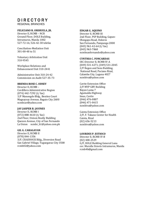## D I R E C T O R Y

REGIONAL BRANCHES

#### **FELICIANO R. ORIHUELA, JR.**

Director II, RCMB – NCR Ground Floor, DOLE Building, Intramuros, Manila 1002 527-72-16; 526-42-30 telefax

Conciliation-Mediation Unit 301-00-48 to 51

Voluntary Arbitration Unit 310-9545

Workplace Relations and Enhancement Unit 310-2441

Administrative Unit 310-24-42 Commission on Audit 527-35-73

#### **BRENDA ROSE C. ODSEY**

Director II, RCMB – Cordillera Administrative Region (074) 442-7292 (t/ fax) 3/F Manongdo Bldg., Benitez Court Magsaysay Avenue, Baguio City 2600 ncmbcar@yahoo.com

#### **JAY JASPER B. JAVINES**

Director II, RCMB I (072) 888-4610 (t/ fax) 2nd Floor, Unison Realty Building Quezon Avenue, City of San Fernando La Union ncmbr\_b1@yahoo.com.ph

#### **GIL G. CARAGAYAN**

Director II, RCMB II (078) 844-1356 3/F, CRADDOCK Bldg., Diversion Road San Gabriel Village, Tuguegarao City 3500 rcmb02@yahoo.com

#### **EDGAR G. AQUINO**

Director II, RCMB III 2nd Floor, PSP Building, Gapan-Olongapo Road, Dolores San Fernando, Pampanga 2000 (045) 961-42-64 (t/ fax) (045) 963-7868 ncmbsanfernando@yahoo.com

#### **CYNTHIA C. FONCARDAS**

OIC-Director II, RCMB IV-A (049) 531-4271; (049) 531-2045 2/F Regon and Sons Building, National Road, Paciano Rizal, Calamba City, Laguna 4027 ncmbiva@yahoo.com

Cavite Extension Office 2/F MYP GBY Building Bayan Luma 7 Aguinaldo Highway Imus, Cavite (046) 476-0807 (046) 471-0615 ncmbiva@yahoo.com

Cainta Extension Office 2/F, F. Takano Center for Health Cainta, Rizal (02) 656-5213 ncmbiva@yahoo.com

#### **LOURDES P. ESTIOCO**

Director II, RCMB IV-B (02) 400-2529 G/F, DOLE Building General Luna cor. Muralla Streets Intramuros, Manila rcmb4b@gmail.com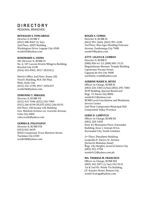## D I R E C T O R Y

REGIONAL BRANCHES

#### **REYNALDO S. FONCARDAS**

Director II, RCMB V (052) 480-8467 (t/ fax) 2nd Floor, ANST Building Washington Drive, Legaspi City 4500 ncmbrb5@yahoo.com

#### **ROSEMARIE G. OXINO**

OIC-Director II, RCMB VI No. 6, 10th Lacson Streets Milagros Building, Bacolod City 6100 (034) 433-0901; 0917-3023412

District Office 2nd Floor, Room 202 Viosil's Building, M.H. Del Pilar, Molo, Iloilo City (033) 332-2199; 0917-3054347 ncmbrb6@yahoo.com

#### **EDMUNDO T. MIRASOL**

Director II, RCMB VII (032) 415-7046 (032) 230-7909 (032) 266-8194 (PLDT) (032) 266-8193 6th Floor, Old Insular Life Building Gen. Maxilom Avenue cor. Gorordo Avenue, Cebu City 6000 cebu.ncmb@yahoo.com

#### **GEMMA R. POLOYAPOY**

Director II, RCMB VIII (053) 832-0659 DOLE Compound, Trece Martirez Street, Tacloban City 6500 ncmbrb8@yahoo.com

#### **ROGEN S. CUMBA**

Director II, RCMB IX (062) 991-2644; (062) 991-2186 3rd Floor, Wee Agro Building Veterans Avenue, Zamboanga City 7000 ncmbr9@yahoo.com

#### **ATTY. LIGAYA R. LUMBAY**

Director II, RCMB X (088) 856-61-23; (088) 881-3123 Maguindanao Masonic Temple Building Capistrano-Pacana Street, Cagayan de Oro City 9000 northmin\_rcmb@yahoo.com

#### **AERRINE MARIE R. REYES**

Officer-in-Charge, RCMB XI (082) 226-3465 (t/fax) (082) 295-7083 DCPI Building, Quezon Boulevard Brgy. 31 Davao City 8000 ncmbrb11@yahoo.com NCMB Local Conciliation and Mediation Service Center 2nd Floor Compostela Municipal Hall Compostela Valley Province

#### **GERIE D. LAMPITCO**

Officer-in-Charge, RCMB XII (083) 228-3438 Door #1 Mezzanine Floor, Duremdes Building, Zone 1, Gensan Drive, Koronadal City, South Cotobato

2nd Floor, Dimalanta Building, Leopoldo D. Dacera Sr. Avenue *(formerly Mabuhay Road)*  Brgy. City Heights, General Santos City (083) 552-5758 ncmbrb12@yahoo.com.ph

#### **MA. THERESA M. FRANCISCO**

Officer-in-Charge, RCMB XIII (085) 342-5871 (t/ fax) 342-9131 1st & 2nd Flr. Nimfa Tiu Building, J.P. Rosales Street, Butuan City ncmb13caraga@yahoo.com